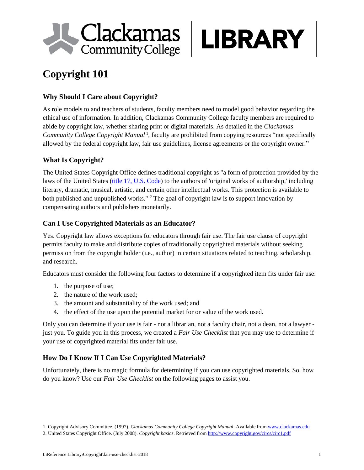



## **Why Should I Care about Copyright?**

As role models to and teachers of students, faculty members need to model good behavior regarding the ethical use of information. In addition, Clackamas Community College faculty members are required to abide by copyright law, whether sharing print or digital materials. As detailed in the *Clackamas Community College Copyright Manual* <sup>1</sup> , faculty are prohibited from copying resources "not specifically allowed by the federal copyright law, fair use guidelines, license agreements or the copyright owner."

## **What Is Copyright?**

The United States Copyright Office defines traditional copyright as "a form of protection provided by the laws of the United States [\(title 17, U.S. Code\)](http://www.copyright.gov/title17/) to the authors of 'original works of authorship,' including literary, dramatic, musical, artistic, and certain other intellectual works. This protection is available to both published and unpublished works." <sup>2</sup> The goal of copyright law is to support innovation by compensating authors and publishers monetarily.

## **Can I Use Copyrighted Materials as an Educator?**

Yes. Copyright law allows exceptions for educators through fair use. The fair use clause of copyright permits faculty to make and distribute copies of traditionally copyrighted materials without seeking permission from the copyright holder (i.e., author) in certain situations related to teaching, scholarship, and research.

Educators must consider the following four factors to determine if a copyrighted item fits under fair use:

- 1. the purpose of use;
- 2. the nature of the work used;
- 3. the amount and substantiality of the work used; and
- 4. the effect of the use upon the potential market for or value of the work used.

Only you can determine if your use is fair - not a librarian, not a faculty chair, not a dean, not a lawyer just you. To guide you in this process, we created a *Fair Use Checklist* that you may use to determine if your use of copyrighted material fits under fair use.

# **How Do I Know If I Can Use Copyrighted Materials?**

Unfortunately, there is no magic formula for determining if you can use copyrighted materials. So, how do you know? Use our *Fair Use Checklist* on the following pages to assist you.

<sup>1.</sup> Copyright Advisory Committee. (1997). *Clackamas Community College Copyright Manual*. Available fro[m www.clackamas.edu](http://www.clackamas.edu/)

<sup>2.</sup> United States Copyright Office. (July 2008). *Copyright basics*. Retrieved from<http://www.copyright.gov/circs/circ1.pdf>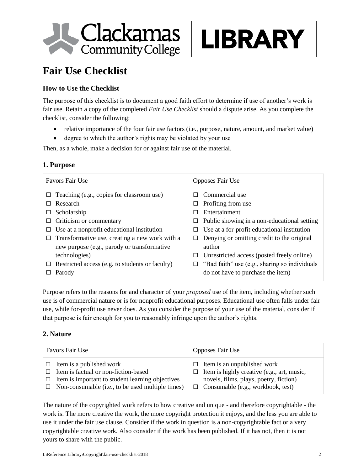

# **Fair Use Checklist**

# **How to Use the Checklist**

The purpose of this checklist is to document a good faith effort to determine if use of another's work is fair use. Retain a copy of the completed *Fair Use Checklist* should a dispute arise. As you complete the checklist, consider the following:

- relative importance of the four fair use factors (i.e., purpose, nature, amount, and market value)
- degree to which the author's rights may be violated by your use

Then, as a whole, make a decision for or against fair use of the material.

#### **1. Purpose**

| Favors Fair Use                                        | <b>Opposes Fair Use</b>                            |  |
|--------------------------------------------------------|----------------------------------------------------|--|
| $\Box$ Teaching (e.g., copies for classroom use)       | Commercial use<br>П                                |  |
| Research<br>П                                          | Profiting from use<br>⊔                            |  |
| Scholarship<br>⊔                                       | Entertainment<br>П                                 |  |
| Criticism or commentary                                | Public showing in a non-educational setting<br>ப   |  |
| Use at a nonprofit educational institution<br>ப        | Use at a for-profit educational institution<br>⊔   |  |
| Transformative use, creating a new work with a<br>□    | Denying or omitting credit to the original<br>□    |  |
| new purpose (e.g., parody or transformative            | author                                             |  |
| technologies)                                          | Unrestricted access (posted freely online)<br>⊔    |  |
| $\Box$ Restricted access (e.g. to students or faculty) | "Bad faith" use (e.g., sharing so individuals<br>□ |  |
| Parody                                                 | do not have to purchase the item)                  |  |

Purpose refers to the reasons for and character of your *proposed* use of the item, including whether such use is of commercial nature or is for nonprofit educational purposes. Educational use often falls under fair use, while for-profit use never does. As you consider the purpose of your use of the material, consider if that purpose is fair enough for you to reasonably infringe upon the author's rights.

#### **2. Nature**

| Favors Fair Use                                                                                                                                                                                      | <b>Opposes Fair Use</b>                                                                                                                                                   |  |
|------------------------------------------------------------------------------------------------------------------------------------------------------------------------------------------------------|---------------------------------------------------------------------------------------------------------------------------------------------------------------------------|--|
| $\Box$ Item is a published work<br>$\Box$ Item is factual or non-fiction-based<br>$\Box$ Item is important to student learning objectives<br>$\Box$ Non-consumable (i.e., to be used multiple times) | Item is an unpublished work<br>П<br>Item is highly creative (e.g., art, music,<br>□<br>novels, films, plays, poetry, fiction)<br>$\Box$ Consumable (e.g., workbook, test) |  |

The nature of the copyrighted work refers to how creative and unique - and therefore copyrightable - the work is. The more creative the work, the more copyright protection it enjoys, and the less you are able to use it under the fair use clause. Consider if the work in question is a non-copyrightable fact or a very copyrightable creative work. Also consider if the work has been published. If it has not, then it is not yours to share with the public.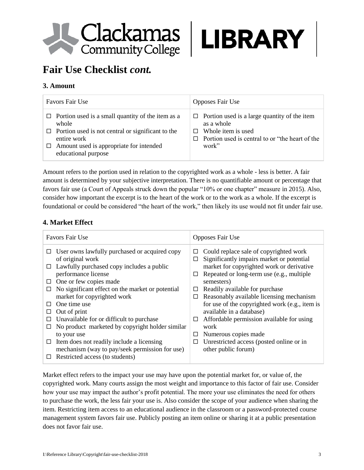



# **Fair Use Checklist** *cont.*

#### **3. Amount**

| Favors Fair Use                                          | Opposes Fair Use                                    |
|----------------------------------------------------------|-----------------------------------------------------|
| $\Box$ Portion used is a small quantity of the item as a | $\Box$ Portion used is a large quantity of the item |
| whole                                                    | as a whole                                          |
| $\Box$ Portion used is not central or significant to the | Whole item is used                                  |
| entire work                                              | $\Box$                                              |
| Amount used is appropriate for intended                  | Portion used is central to or "the heart of the     |
| educational purpose                                      | work"                                               |

Amount refers to the portion used in relation to the copyrighted work as a whole - less is better. A fair amount is determined by your subjective interpretation. There is no quantifiable amount or percentage that favors fair use (a Court of Appeals struck down the popular "10% or one chapter" measure in 2015). Also, consider how important the excerpt is to the heart of the work or to the work as a whole. If the excerpt is foundational or could be considered "the heart of the work," then likely its use would not fit under fair use.

## **4. Market Effect**

|         | <b>Favors Fair Use</b>                                            |        | Opposes Fair Use                                                                       |
|---------|-------------------------------------------------------------------|--------|----------------------------------------------------------------------------------------|
| □       | User owns lawfully purchased or acquired copy<br>of original work | ⊔<br>ப | Could replace sale of copyrighted work<br>Significantly impairs market or potential    |
| $\Box$  | Lawfully purchased copy includes a public<br>performance license  | □      | market for copyrighted work or derivative<br>Repeated or long-term use (e.g., multiple |
| ப       | One or few copies made                                            |        | semesters)                                                                             |
| □       | No significant effect on the market or potential                  | ப      | Readily available for purchase                                                         |
|         | market for copyrighted work                                       | □      | Reasonably available licensing mechanism                                               |
| $\perp$ | One time use                                                      |        | for use of the copyrighted work (e.g., item is                                         |
| ப       | Out of print                                                      |        | available in a database)                                                               |
| □       | Unavailable for or difficult to purchase                          | ⊔      | Affordable permission available for using                                              |
| □       | No product marketed by copyright holder similar                   |        | work                                                                                   |
|         | to your use                                                       | □      | Numerous copies made                                                                   |
|         | $\Box$ Item does not readily include a licensing                  | □      | Unrestricted access (posted online or in                                               |
|         | mechanism (way to pay/seek permission for use)                    |        | other public forum)                                                                    |
| □       | Restricted access (to students)                                   |        |                                                                                        |

Market effect refers to the impact your use may have upon the potential market for, or value of, the copyrighted work. Many courts assign the most weight and importance to this factor of fair use. Consider how your use may impact the author's profit potential. The more your use eliminates the need for others to purchase the work, the less fair your use is. Also consider the scope of your audience when sharing the item. Restricting item access to an educational audience in the classroom or a password-protected course management system favors fair use. Publicly posting an item online or sharing it at a public presentation does not favor fair use.